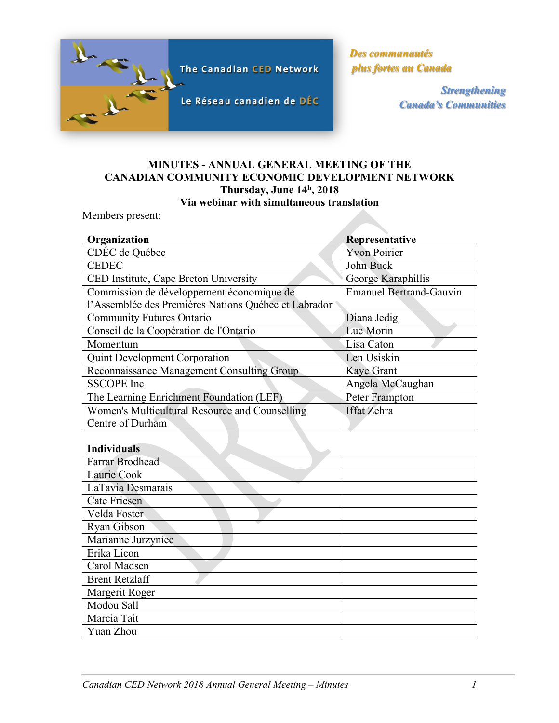

*Des communautés plus fortes au Canada*

> *Strengthening Canada's Communities*

# **MINUTES - ANNUAL GENERAL MEETING OF THE CANADIAN COMMUNITY ECONOMIC DEVELOPMENT NETWORK Thursday, June 14h, 2018 Via webinar with simultaneous translation**

Members present:

| Organization                                         | Representative                 |
|------------------------------------------------------|--------------------------------|
| CDÉC de Québec                                       | <b>Yvon Poirier</b>            |
| <b>CEDEC</b>                                         | John Buck                      |
| CED Institute, Cape Breton University                | George Karaphillis             |
| Commission de développement économique de            | <b>Emanuel Bertrand-Gauvin</b> |
| l'Assemblée des Premières Nations Québec et Labrador |                                |
| <b>Community Futures Ontario</b>                     | Diana Jedig                    |
| Conseil de la Coopération de l'Ontario               | Luc Morin                      |
| Momentum                                             | Lisa Caton                     |
| <b>Quint Development Corporation</b>                 | Len Usiskin                    |
| Reconnaissance Management Consulting Group           | Kaye Grant                     |
| <b>SSCOPE</b> Inc                                    | Angela McCaughan               |
| The Learning Enrichment Foundation (LEF)             | Peter Frampton                 |
| Women's Multicultural Resource and Counselling       | <b>Iffat Zehra</b>             |
| Centre of Durham                                     |                                |

# **Individuals**

| <b>Farrar Brodhead</b> |  |
|------------------------|--|
| Laurie Cook            |  |
| LaTavia Desmarais      |  |
| <b>Cate Friesen</b>    |  |
| Velda Foster           |  |
| Ryan Gibson            |  |
| Marianne Jurzyniec     |  |
| Erika Licon            |  |
| Carol Madsen           |  |
| <b>Brent Retzlaff</b>  |  |
| Margerit Roger         |  |
| Modou Sall             |  |
| Marcia Tait            |  |
| Yuan Zhou              |  |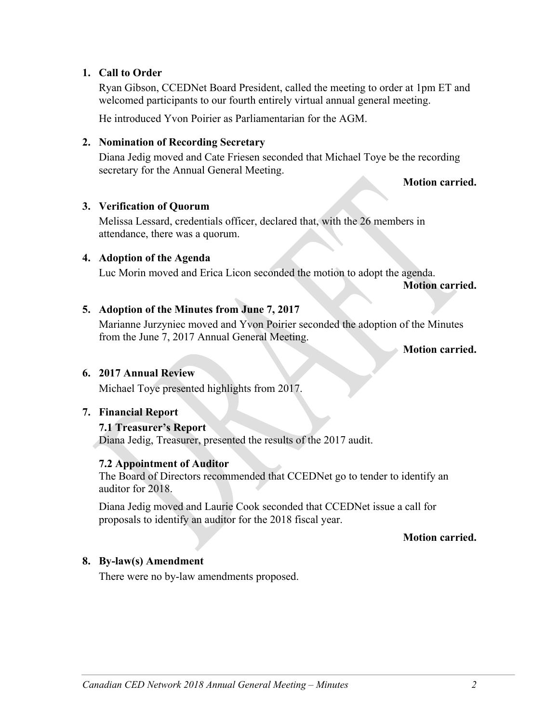# **1. Call to Order**

Ryan Gibson, CCEDNet Board President, called the meeting to order at 1pm ET and welcomed participants to our fourth entirely virtual annual general meeting.

He introduced Yvon Poirier as Parliamentarian for the AGM.

#### **2. Nomination of Recording Secretary**

Diana Jedig moved and Cate Friesen seconded that Michael Toye be the recording secretary for the Annual General Meeting.

**Motion carried.**

### **3. Verification of Quorum**

Melissa Lessard, credentials officer, declared that, with the 26 members in attendance, there was a quorum.

## **4. Adoption of the Agenda**

Luc Morin moved and Erica Licon seconded the motion to adopt the agenda.

**Motion carried.**

#### **5. Adoption of the Minutes from June 7, 2017**

Marianne Jurzyniec moved and Yvon Poirier seconded the adoption of the Minutes from the June 7, 2017 Annual General Meeting.

**Motion carried.**

#### **6. 2017 Annual Review**

Michael Toye presented highlights from 2017.

# **7. Financial Report**

### **7.1 Treasurer's Report**

Diana Jedig, Treasurer, presented the results of the 2017 audit.

### **7.2 Appointment of Auditor**

The Board of Directors recommended that CCEDNet go to tender to identify an auditor for 2018.

Diana Jedig moved and Laurie Cook seconded that CCEDNet issue a call for proposals to identify an auditor for the 2018 fiscal year.

#### **Motion carried.**

### **8. By-law(s) Amendment**

There were no by-law amendments proposed.